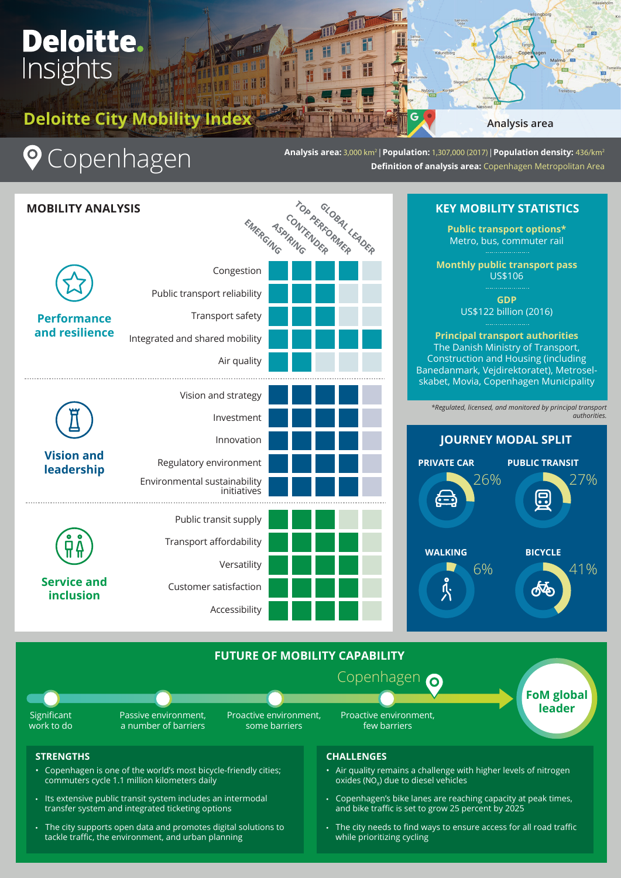# **Deloitte.**<br>Insights

**Deloitte City Mobility Index**

# **Q** Copenhagen

**Analysis area:** 3,000 km2 | **Population:** 1,307,000 (2017) | **Population density:** 436/km2 **Definition of analysis area: Copenhagen Metropolitan Area** 

G

F

F

**IIIIII** 

| TOP PERSONAL LEADER<br><b>MOBILITY ANALYSIS</b><br>EMERGING |                                                                       |  | KE                           |
|-------------------------------------------------------------|-----------------------------------------------------------------------|--|------------------------------|
|                                                             | Congestion<br>Public transport reliability                            |  | M                            |
| <b>Performance</b><br>and resilience                        | Transport safety                                                      |  | Pri                          |
|                                                             | Integrated and shared mobility<br>Air quality                         |  | The<br><b>Cons</b><br>Baneda |
| <b>Vision and</b><br>leadership                             | Vision and strategy<br>Investment                                     |  | skabet<br>*Regi              |
|                                                             | Innovation                                                            |  | J                            |
|                                                             | Regulatory environment<br>Environmental sustainability<br>initiatives |  | <b>PRIVAT</b><br>€           |
| <b>Service and</b><br>inclusion                             | Public transit supply<br>Transport affordability                      |  |                              |
|                                                             | Versatility                                                           |  | <b>WALI</b>                  |
|                                                             | Customer satisfaction<br>Accessibility                                |  |                              |

TH.

Ш

H

**AHDL** 

8114

### **KY MOBILITY STATISTICS**

**Analysis area**

Malmo III

**Hea** 

**Public transport options\*** Metro, bus, commuter rail

**Monthly public transport pass**  US\$106

> **GDP** US\$122 billion (2016)

### **Principal transport authorities** Danish Ministry of Transport, truction and Housing (including Inmark, Vejdirektoratet), Metrosel-Movia, Copenhagen Municipality

*\*Regulated, licensed, and monitored by principal transport authorities.*



### **FUTURE OF MOBILITY CAPABILITY**



### **STRENGTHS**

- Copenhagen is one of the world's most bicycle-friendly cities; commuters cycle 1.1 million kilometers daily
- Its extensive public transit system includes an intermodal transfer system and integrated ticketing options
- The city supports open data and promotes digital solutions to tackle traffic, the environment, and urban planning

### **CHALLENGES**

- Air quality remains a challenge with higher levels of nitrogen oxides (NO $_{\mathrm{x}}$ ) due to diesel vehicles
- Copenhagen's bike lanes are reaching capacity at peak times, and bike traffic is set to grow 25 percent by 2025
- The city needs to find ways to ensure access for all road traffic while prioritizing cycling